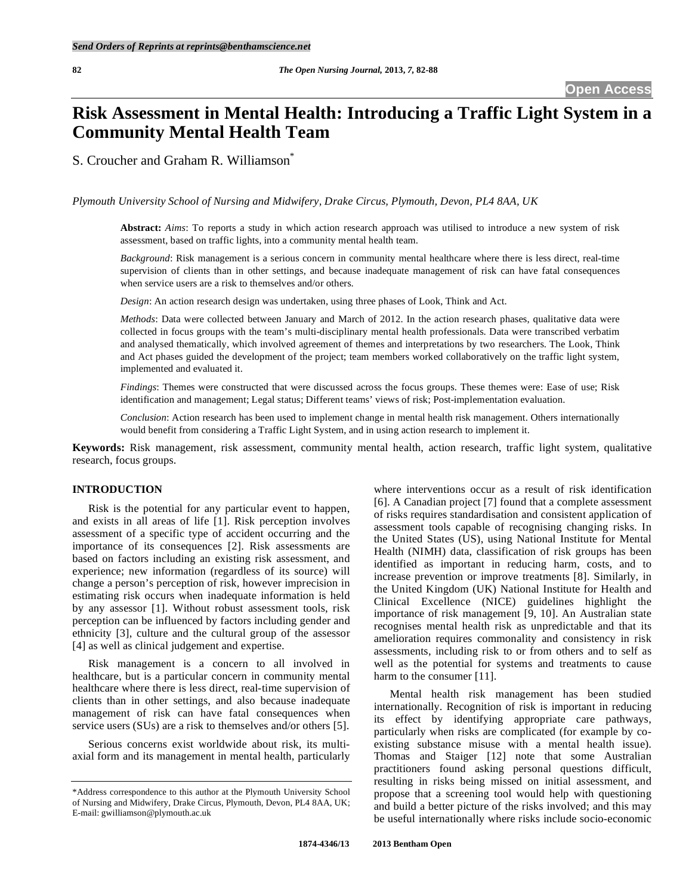# **Risk Assessment in Mental Health: Introducing a Traffic Light System in a Community Mental Health Team**

S. Croucher and Graham R. Williamson<sup>®</sup>

*Plymouth University School of Nursing and Midwifery, Drake Circus, Plymouth, Devon, PL4 8AA, UK* 

**Abstract:** *Aims*: To reports a study in which action research approach was utilised to introduce a new system of risk assessment, based on traffic lights, into a community mental health team.

*Background*: Risk management is a serious concern in community mental healthcare where there is less direct, real-time supervision of clients than in other settings, and because inadequate management of risk can have fatal consequences when service users are a risk to themselves and/or others.

*Design*: An action research design was undertaken, using three phases of Look, Think and Act.

*Methods*: Data were collected between January and March of 2012. In the action research phases, qualitative data were collected in focus groups with the team's multi-disciplinary mental health professionals. Data were transcribed verbatim and analysed thematically, which involved agreement of themes and interpretations by two researchers. The Look, Think and Act phases guided the development of the project; team members worked collaboratively on the traffic light system, implemented and evaluated it.

*Findings*: Themes were constructed that were discussed across the focus groups. These themes were: Ease of use; Risk identification and management; Legal status; Different teams' views of risk; Post-implementation evaluation.

*Conclusion*: Action research has been used to implement change in mental health risk management. Others internationally would benefit from considering a Traffic Light System, and in using action research to implement it.

**Keywords:** Risk management, risk assessment, community mental health, action research, traffic light system, qualitative research, focus groups.

#### **INTRODUCTION**

 Risk is the potential for any particular event to happen, and exists in all areas of life [1]. Risk perception involves assessment of a specific type of accident occurring and the importance of its consequences [2]. Risk assessments are based on factors including an existing risk assessment, and experience; new information (regardless of its source) will change a person's perception of risk, however imprecision in estimating risk occurs when inadequate information is held by any assessor [1]. Without robust assessment tools, risk perception can be influenced by factors including gender and ethnicity [3], culture and the cultural group of the assessor [4] as well as clinical judgement and expertise.

 Risk management is a concern to all involved in healthcare, but is a particular concern in community mental healthcare where there is less direct, real-time supervision of clients than in other settings, and also because inadequate management of risk can have fatal consequences when service users (SUs) are a risk to themselves and/or others [5].

 Serious concerns exist worldwide about risk, its multiaxial form and its management in mental health, particularly where interventions occur as a result of risk identification [6]. A Canadian project [7] found that a complete assessment of risks requires standardisation and consistent application of assessment tools capable of recognising changing risks. In the United States (US), using National Institute for Mental Health (NIMH) data, classification of risk groups has been identified as important in reducing harm, costs, and to increase prevention or improve treatments [8]. Similarly, in the United Kingdom (UK) National Institute for Health and Clinical Excellence (NICE) guidelines highlight the importance of risk management [9, 10]. An Australian state recognises mental health risk as unpredictable and that its amelioration requires commonality and consistency in risk assessments, including risk to or from others and to self as well as the potential for systems and treatments to cause harm to the consumer [11].

 Mental health risk management has been studied internationally. Recognition of risk is important in reducing its effect by identifying appropriate care pathways, particularly when risks are complicated (for example by coexisting substance misuse with a mental health issue). Thomas and Staiger [12] note that some Australian practitioners found asking personal questions difficult, resulting in risks being missed on initial assessment, and propose that a screening tool would help with questioning and build a better picture of the risks involved; and this may be useful internationally where risks include socio-economic

<sup>\*</sup>Address correspondence to this author at the Plymouth University School of Nursing and Midwifery, Drake Circus, Plymouth, Devon, PL4 8AA, UK; E-mail: gwilliamson@plymouth.ac.uk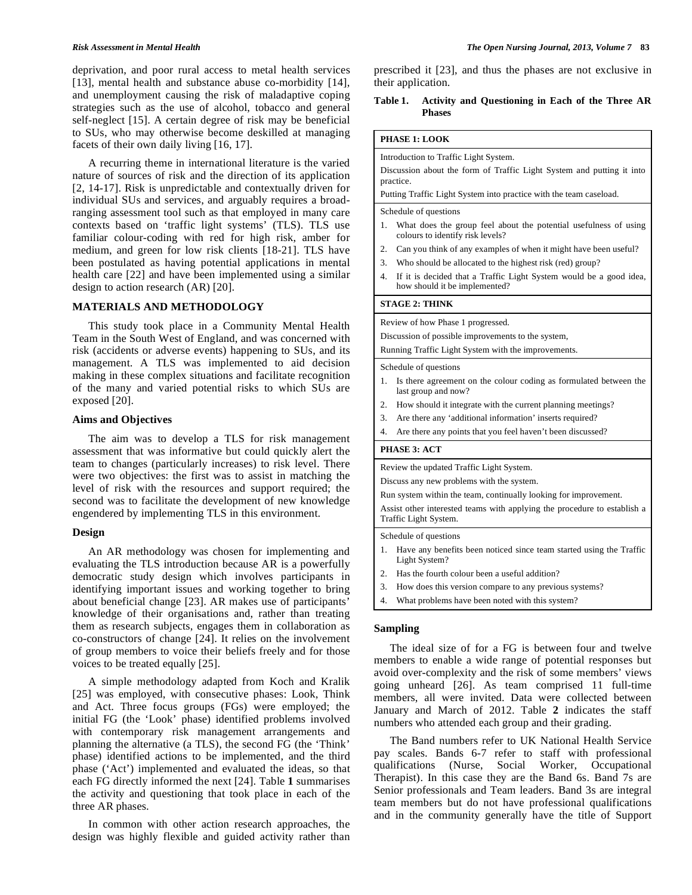deprivation, and poor rural access to metal health services [13], mental health and substance abuse co-morbidity [14], and unemployment causing the risk of maladaptive coping strategies such as the use of alcohol, tobacco and general self-neglect [15]. A certain degree of risk may be beneficial to SUs, who may otherwise become deskilled at managing facets of their own daily living [16, 17].

 A recurring theme in international literature is the varied nature of sources of risk and the direction of its application [2, 14-17]. Risk is unpredictable and contextually driven for individual SUs and services, and arguably requires a broadranging assessment tool such as that employed in many care contexts based on 'traffic light systems' (TLS). TLS use familiar colour-coding with red for high risk, amber for medium, and green for low risk clients [18-21]. TLS have been postulated as having potential applications in mental health care [22] and have been implemented using a similar design to action research (AR) [20].

# **MATERIALS AND METHODOLOGY**

 This study took place in a Community Mental Health Team in the South West of England, and was concerned with risk (accidents or adverse events) happening to SUs, and its management. A TLS was implemented to aid decision making in these complex situations and facilitate recognition of the many and varied potential risks to which SUs are exposed [20].

#### **Aims and Objectives**

 The aim was to develop a TLS for risk management assessment that was informative but could quickly alert the team to changes (particularly increases) to risk level. There were two objectives: the first was to assist in matching the level of risk with the resources and support required; the second was to facilitate the development of new knowledge engendered by implementing TLS in this environment.

#### **Design**

 An AR methodology was chosen for implementing and evaluating the TLS introduction because AR is a powerfully democratic study design which involves participants in identifying important issues and working together to bring about beneficial change [23]. AR makes use of participants' knowledge of their organisations and, rather than treating them as research subjects, engages them in collaboration as co-constructors of change [24]. It relies on the involvement of group members to voice their beliefs freely and for those voices to be treated equally [25].

 A simple methodology adapted from Koch and Kralik [25] was employed, with consecutive phases: Look, Think and Act. Three focus groups (FGs) were employed; the initial FG (the 'Look' phase) identified problems involved with contemporary risk management arrangements and planning the alternative (a TLS), the second FG (the 'Think' phase) identified actions to be implemented, and the third phase ('Act') implemented and evaluated the ideas, so that each FG directly informed the next [24]. Table **1** summarises the activity and questioning that took place in each of the three AR phases.

 In common with other action research approaches, the design was highly flexible and guided activity rather than prescribed it [23], and thus the phases are not exclusive in their application.

#### **Table 1. Activity and Questioning in Each of the Three AR Phases**

## **PHASE 1: LOOK**

Introduction to Traffic Light System. Discussion about the form of Traffic Light System and putting it into practice.

Putting Traffic Light System into practice with the team caseload.

#### Schedule of questions

- 1. What does the group feel about the potential usefulness of using colours to identify risk levels?
- 2. Can you think of any examples of when it might have been useful?
- 3. Who should be allocated to the highest risk (red) group?
- 4. If it is decided that a Traffic Light System would be a good idea, how should it be implemented?

#### **STAGE 2: THINK**

Review of how Phase 1 progressed.

Discussion of possible improvements to the system,

Running Traffic Light System with the improvements.

#### Schedule of questions

- 1. Is there agreement on the colour coding as formulated between the last group and now?
- 2. How should it integrate with the current planning meetings?
- 3. Are there any 'additional information' inserts required?
- 4. Are there any points that you feel haven't been discussed?

#### **PHASE 3: ACT**

Review the updated Traffic Light System.

Discuss any new problems with the system.

Run system within the team, continually looking for improvement.

Assist other interested teams with applying the procedure to establish a Traffic Light System.

Schedule of questions

- 1. Have any benefits been noticed since team started using the Traffic Light System?
- 2. Has the fourth colour been a useful addition?
- 3. How does this version compare to any previous systems?
- What problems have been noted with this system?

# **Sampling**

 The ideal size of for a FG is between four and twelve members to enable a wide range of potential responses but avoid over-complexity and the risk of some members' views going unheard [26]. As team comprised 11 full-time members, all were invited. Data were collected between January and March of 2012. Table **2** indicates the staff numbers who attended each group and their grading.

 The Band numbers refer to UK National Health Service pay scales. Bands 6-7 refer to staff with professional qualifications (Nurse, Social Worker, Occupational Therapist). In this case they are the Band 6s. Band 7s are Senior professionals and Team leaders. Band 3s are integral team members but do not have professional qualifications and in the community generally have the title of Support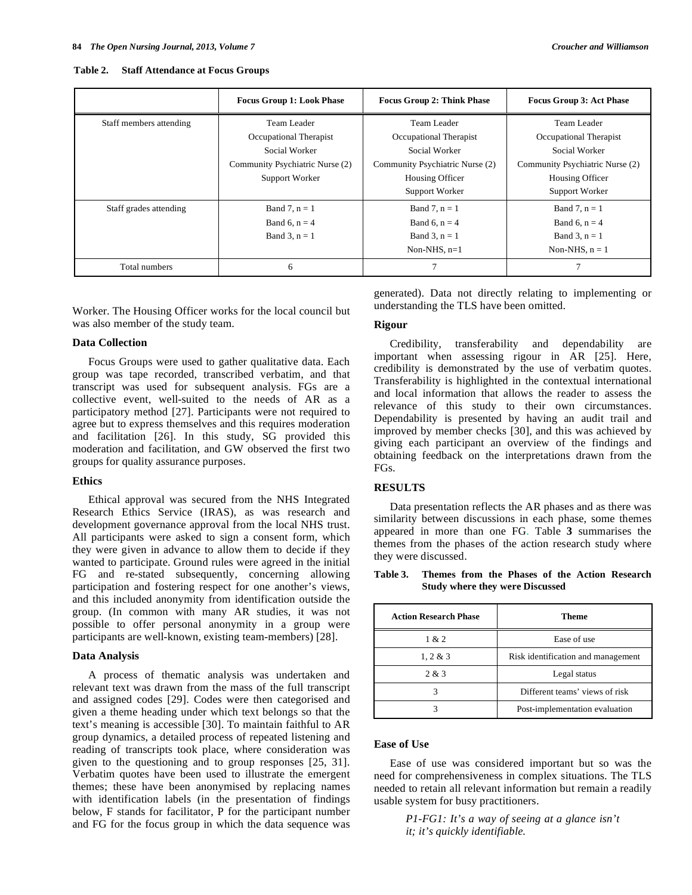| Table 2. |  | <b>Staff Attendance at Focus Groups</b> |  |  |
|----------|--|-----------------------------------------|--|--|
|----------|--|-----------------------------------------|--|--|

|                         | <b>Focus Group 1: Look Phase</b> | <b>Focus Group 2: Think Phase</b> | <b>Focus Group 3: Act Phase</b> |
|-------------------------|----------------------------------|-----------------------------------|---------------------------------|
| Staff members attending | Team Leader                      | Team Leader                       | Team Leader                     |
|                         | Occupational Therapist           | Occupational Therapist            | Occupational Therapist          |
|                         | Social Worker                    | Social Worker                     | Social Worker                   |
|                         | Community Psychiatric Nurse (2)  | Community Psychiatric Nurse (2)   | Community Psychiatric Nurse (2) |
|                         | Support Worker                   | Housing Officer                   | Housing Officer                 |
|                         |                                  | Support Worker                    | Support Worker                  |
| Staff grades attending  | Band 7, $n = 1$                  | Band 7, $n = 1$                   | Band 7, $n = 1$                 |
|                         | Band 6, $n = 4$                  | Band 6, $n = 4$                   | Band 6, $n = 4$                 |
|                         | Band 3, $n = 1$                  | Band 3, $n = 1$                   | Band 3, $n = 1$                 |
|                         |                                  | Non-NHS, $n=1$                    | Non-NHS, $n = 1$                |
| Total numbers           | 6                                | $\overline{7}$                    |                                 |

Worker. The Housing Officer works for the local council but was also member of the study team.

#### **Data Collection**

 Focus Groups were used to gather qualitative data. Each group was tape recorded, transcribed verbatim, and that transcript was used for subsequent analysis. FGs are a collective event, well-suited to the needs of AR as a participatory method [27]. Participants were not required to agree but to express themselves and this requires moderation and facilitation [26]. In this study, SG provided this moderation and facilitation, and GW observed the first two groups for quality assurance purposes.

#### **Ethics**

 Ethical approval was secured from the NHS Integrated Research Ethics Service (IRAS), as was research and development governance approval from the local NHS trust. All participants were asked to sign a consent form, which they were given in advance to allow them to decide if they wanted to participate. Ground rules were agreed in the initial FG and re-stated subsequently, concerning allowing participation and fostering respect for one another's views, and this included anonymity from identification outside the group. (In common with many AR studies, it was not possible to offer personal anonymity in a group were participants are well-known, existing team-members) [28].

#### **Data Analysis**

 A process of thematic analysis was undertaken and relevant text was drawn from the mass of the full transcript and assigned codes [29]. Codes were then categorised and given a theme heading under which text belongs so that the text's meaning is accessible [30]. To maintain faithful to AR group dynamics, a detailed process of repeated listening and reading of transcripts took place, where consideration was given to the questioning and to group responses [25, 31]. Verbatim quotes have been used to illustrate the emergent themes; these have been anonymised by replacing names with identification labels (in the presentation of findings below, F stands for facilitator, P for the participant number and FG for the focus group in which the data sequence was

generated). Data not directly relating to implementing or understanding the TLS have been omitted.

#### **Rigour**

 Credibility, transferability and dependability are important when assessing rigour in AR [25]. Here, credibility is demonstrated by the use of verbatim quotes. Transferability is highlighted in the contextual international and local information that allows the reader to assess the relevance of this study to their own circumstances. Dependability is presented by having an audit trail and improved by member checks [30], and this was achieved by giving each participant an overview of the findings and obtaining feedback on the interpretations drawn from the FGs.

# **RESULTS**

 Data presentation reflects the AR phases and as there was similarity between discussions in each phase, some themes appeared in more than one FG. Table **3** summarises the themes from the phases of the action research study where they were discussed.

**Table 3. Themes from the Phases of the Action Research Study where they were Discussed** 

| <b>Action Research Phase</b> | <b>Theme</b>                       |
|------------------------------|------------------------------------|
| 1 & 2                        | Ease of use                        |
| 1, 2 & 3                     | Risk identification and management |
| 2 & 3                        | Legal status                       |
|                              | Different teams' views of risk     |
|                              | Post-implementation evaluation     |

## **Ease of Use**

 Ease of use was considered important but so was the need for comprehensiveness in complex situations. The TLS needed to retain all relevant information but remain a readily usable system for busy practitioners.

> *P1-FG1: It's a way of seeing at a glance isn't it; it's quickly identifiable.*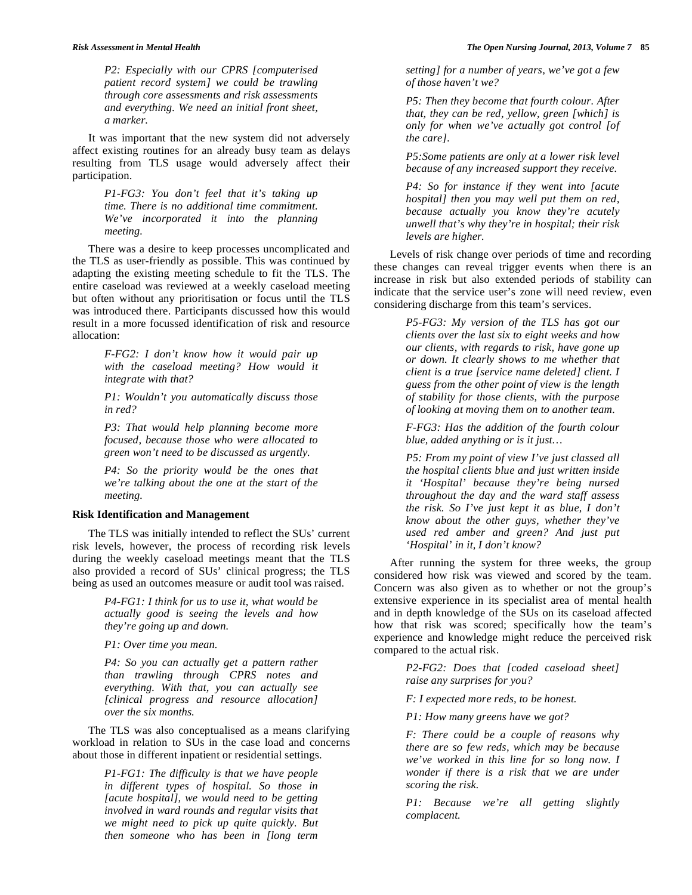*P2: Especially with our CPRS [computerised patient record system] we could be trawling through core assessments and risk assessments and everything. We need an initial front sheet, a marker.* 

 It was important that the new system did not adversely affect existing routines for an already busy team as delays resulting from TLS usage would adversely affect their participation.

> *P1-FG3: You don't feel that it's taking up time. There is no additional time commitment. We've incorporated it into the planning meeting.*

 There was a desire to keep processes uncomplicated and the TLS as user-friendly as possible. This was continued by adapting the existing meeting schedule to fit the TLS. The entire caseload was reviewed at a weekly caseload meeting but often without any prioritisation or focus until the TLS was introduced there. Participants discussed how this would result in a more focussed identification of risk and resource allocation:

> *F-FG2: I don't know how it would pair up with the caseload meeting? How would it integrate with that?*

> *P1: Wouldn't you automatically discuss those in red?*

> *P3: That would help planning become more focused, because those who were allocated to green won't need to be discussed as urgently.*

> *P4: So the priority would be the ones that we're talking about the one at the start of the meeting.*

# **Risk Identification and Management**

 The TLS was initially intended to reflect the SUs' current risk levels, however, the process of recording risk levels during the weekly caseload meetings meant that the TLS also provided a record of SUs' clinical progress; the TLS being as used an outcomes measure or audit tool was raised.

> *P4-FG1: I think for us to use it, what would be actually good is seeing the levels and how they're going up and down.*

*P1: Over time you mean.* 

*P4: So you can actually get a pattern rather than trawling through CPRS notes and everything. With that, you can actually see [clinical progress and resource allocation] over the six months.* 

 The TLS was also conceptualised as a means clarifying workload in relation to SUs in the case load and concerns about those in different inpatient or residential settings.

> *P1-FG1: The difficulty is that we have people in different types of hospital. So those in [acute hospital], we would need to be getting involved in ward rounds and regular visits that we might need to pick up quite quickly. But then someone who has been in [long term*

*setting] for a number of years, we've got a few of those haven't we?* 

*P5: Then they become that fourth colour. After that, they can be red, yellow, green [which] is only for when we've actually got control [of the care].* 

*P5:Some patients are only at a lower risk level because of any increased support they receive.* 

*P4: So for instance if they went into [acute hospital] then you may well put them on red, because actually you know they're acutely unwell that's why they're in hospital; their risk levels are higher.* 

 Levels of risk change over periods of time and recording these changes can reveal trigger events when there is an increase in risk but also extended periods of stability can indicate that the service user's zone will need review, even considering discharge from this team's services.

> *P5-FG3: My version of the TLS has got our clients over the last six to eight weeks and how our clients, with regards to risk, have gone up or down. It clearly shows to me whether that client is a true [service name deleted] client. I guess from the other point of view is the length of stability for those clients, with the purpose of looking at moving them on to another team.*

> *F-FG3: Has the addition of the fourth colour blue, added anything or is it just…*

> *P5: From my point of view I've just classed all the hospital clients blue and just written inside it 'Hospital' because they're being nursed throughout the day and the ward staff assess the risk. So I've just kept it as blue, I don't know about the other guys, whether they've used red amber and green? And just put 'Hospital' in it, I don't know?*

 After running the system for three weeks, the group considered how risk was viewed and scored by the team. Concern was also given as to whether or not the group's extensive experience in its specialist area of mental health and in depth knowledge of the SUs on its caseload affected how that risk was scored; specifically how the team's experience and knowledge might reduce the perceived risk compared to the actual risk.

> *P2-FG2: Does that [coded caseload sheet] raise any surprises for you?*

*F: I expected more reds, to be honest.* 

*P1: How many greens have we got?* 

*F: There could be a couple of reasons why there are so few reds, which may be because we've worked in this line for so long now. I wonder if there is a risk that we are under scoring the risk.* 

*P1: Because we're all getting slightly complacent.*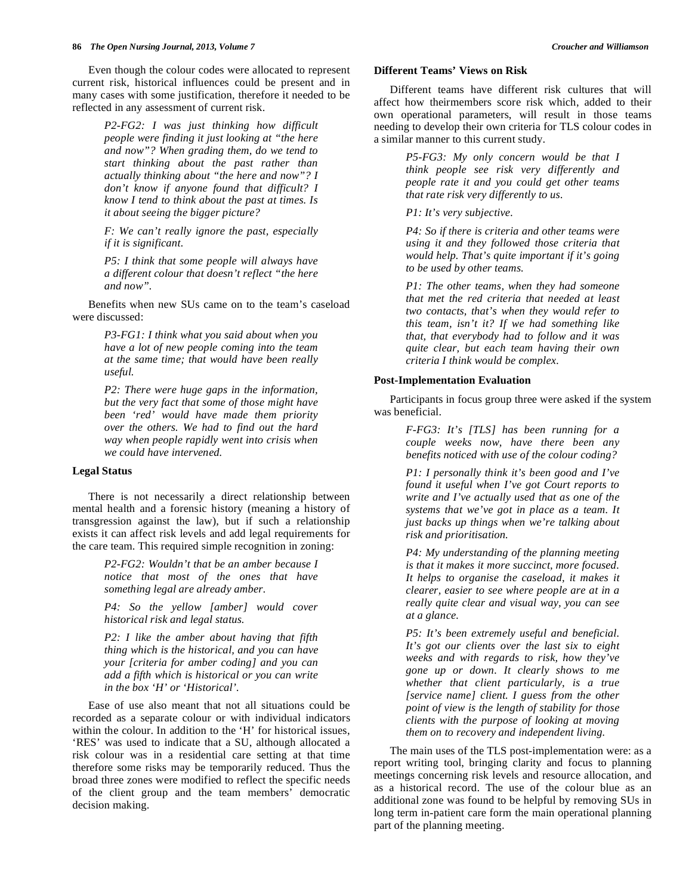Even though the colour codes were allocated to represent current risk, historical influences could be present and in many cases with some justification, therefore it needed to be reflected in any assessment of current risk.

> *P2-FG2: I was just thinking how difficult people were finding it just looking at "the here and now"? When grading them, do we tend to start thinking about the past rather than actually thinking about "the here and now"? I don't know if anyone found that difficult? I know I tend to think about the past at times. Is it about seeing the bigger picture?*

> *F: We can't really ignore the past, especially if it is significant.*

> *P5: I think that some people will always have a different colour that doesn't reflect "the here and now".*

 Benefits when new SUs came on to the team's caseload were discussed:

> *P3-FG1: I think what you said about when you have a lot of new people coming into the team at the same time; that would have been really useful.*

> *P2: There were huge gaps in the information, but the very fact that some of those might have been 'red' would have made them priority over the others. We had to find out the hard way when people rapidly went into crisis when we could have intervened.*

#### **Legal Status**

 There is not necessarily a direct relationship between mental health and a forensic history (meaning a history of transgression against the law), but if such a relationship exists it can affect risk levels and add legal requirements for the care team. This required simple recognition in zoning:

> *P2-FG2: Wouldn't that be an amber because I notice that most of the ones that have something legal are already amber.*

> *P4: So the yellow [amber] would cover historical risk and legal status.*

> *P2: I like the amber about having that fifth thing which is the historical, and you can have your [criteria for amber coding] and you can add a fifth which is historical or you can write in the box 'H' or 'Historical'.*

 Ease of use also meant that not all situations could be recorded as a separate colour or with individual indicators within the colour. In addition to the 'H' for historical issues, 'RES' was used to indicate that a SU, although allocated a risk colour was in a residential care setting at that time therefore some risks may be temporarily reduced. Thus the broad three zones were modified to reflect the specific needs of the client group and the team members' democratic decision making.

#### **Different Teams' Views on Risk**

 Different teams have different risk cultures that will affect how theirmembers score risk which, added to their own operational parameters, will result in those teams needing to develop their own criteria for TLS colour codes in a similar manner to this current study.

> *P5-FG3: My only concern would be that I think people see risk very differently and people rate it and you could get other teams that rate risk very differently to us.*

*P1: It's very subjective.* 

*P4: So if there is criteria and other teams were using it and they followed those criteria that would help. That's quite important if it's going to be used by other teams.* 

*P1: The other teams, when they had someone that met the red criteria that needed at least two contacts, that's when they would refer to this team, isn't it? If we had something like that, that everybody had to follow and it was quite clear, but each team having their own criteria I think would be complex.* 

#### **Post-Implementation Evaluation**

 Participants in focus group three were asked if the system was beneficial.

> *F-FG3: It's [TLS] has been running for a couple weeks now, have there been any benefits noticed with use of the colour coding?*

> *P1: I personally think it's been good and I've found it useful when I've got Court reports to write and I've actually used that as one of the systems that we've got in place as a team. It just backs up things when we're talking about risk and prioritisation.*

> *P4: My understanding of the planning meeting is that it makes it more succinct, more focused. It helps to organise the caseload, it makes it clearer, easier to see where people are at in a really quite clear and visual way, you can see at a glance.*

> *P5: It's been extremely useful and beneficial. It's got our clients over the last six to eight weeks and with regards to risk, how they've gone up or down. It clearly shows to me whether that client particularly, is a true [service name] client. I guess from the other point of view is the length of stability for those clients with the purpose of looking at moving them on to recovery and independent living.*

 The main uses of the TLS post-implementation were: as a report writing tool, bringing clarity and focus to planning meetings concerning risk levels and resource allocation, and as a historical record. The use of the colour blue as an additional zone was found to be helpful by removing SUs in long term in-patient care form the main operational planning part of the planning meeting.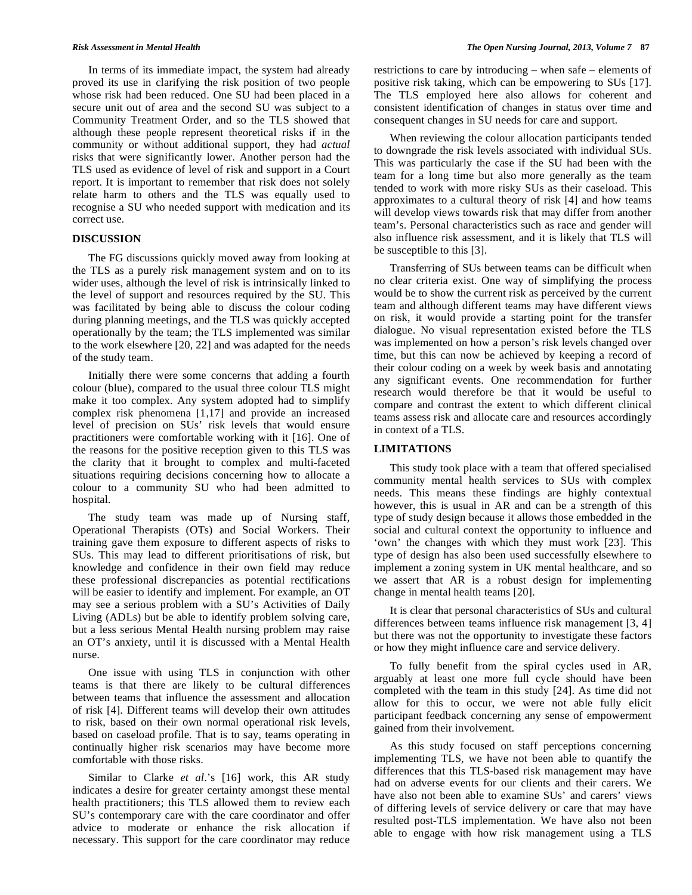In terms of its immediate impact, the system had already proved its use in clarifying the risk position of two people whose risk had been reduced. One SU had been placed in a secure unit out of area and the second SU was subject to a Community Treatment Order, and so the TLS showed that although these people represent theoretical risks if in the community or without additional support, they had *actual* risks that were significantly lower. Another person had the TLS used as evidence of level of risk and support in a Court report. It is important to remember that risk does not solely relate harm to others and the TLS was equally used to recognise a SU who needed support with medication and its correct use.

### **DISCUSSION**

 The FG discussions quickly moved away from looking at the TLS as a purely risk management system and on to its wider uses, although the level of risk is intrinsically linked to the level of support and resources required by the SU. This was facilitated by being able to discuss the colour coding during planning meetings, and the TLS was quickly accepted operationally by the team; the TLS implemented was similar to the work elsewhere [20, 22] and was adapted for the needs of the study team.

 Initially there were some concerns that adding a fourth colour (blue), compared to the usual three colour TLS might make it too complex. Any system adopted had to simplify complex risk phenomena [1,17] and provide an increased level of precision on SUs' risk levels that would ensure practitioners were comfortable working with it [16]. One of the reasons for the positive reception given to this TLS was the clarity that it brought to complex and multi-faceted situations requiring decisions concerning how to allocate a colour to a community SU who had been admitted to hospital.

 The study team was made up of Nursing staff, Operational Therapists (OTs) and Social Workers. Their training gave them exposure to different aspects of risks to SUs. This may lead to different prioritisations of risk, but knowledge and confidence in their own field may reduce these professional discrepancies as potential rectifications will be easier to identify and implement. For example, an OT may see a serious problem with a SU's Activities of Daily Living (ADLs) but be able to identify problem solving care, but a less serious Mental Health nursing problem may raise an OT's anxiety, until it is discussed with a Mental Health nurse.

 One issue with using TLS in conjunction with other teams is that there are likely to be cultural differences between teams that influence the assessment and allocation of risk [4]. Different teams will develop their own attitudes to risk, based on their own normal operational risk levels, based on caseload profile. That is to say, teams operating in continually higher risk scenarios may have become more comfortable with those risks.

 Similar to Clarke *et al*.'s [16] work, this AR study indicates a desire for greater certainty amongst these mental health practitioners; this TLS allowed them to review each SU's contemporary care with the care coordinator and offer advice to moderate or enhance the risk allocation if necessary. This support for the care coordinator may reduce

restrictions to care by introducing – when safe – elements of positive risk taking, which can be empowering to SUs [17]. The TLS employed here also allows for coherent and consistent identification of changes in status over time and consequent changes in SU needs for care and support.

 When reviewing the colour allocation participants tended to downgrade the risk levels associated with individual SUs. This was particularly the case if the SU had been with the team for a long time but also more generally as the team tended to work with more risky SUs as their caseload. This approximates to a cultural theory of risk [4] and how teams will develop views towards risk that may differ from another team's. Personal characteristics such as race and gender will also influence risk assessment, and it is likely that TLS will be susceptible to this [3].

 Transferring of SUs between teams can be difficult when no clear criteria exist. One way of simplifying the process would be to show the current risk as perceived by the current team and although different teams may have different views on risk, it would provide a starting point for the transfer dialogue. No visual representation existed before the TLS was implemented on how a person's risk levels changed over time, but this can now be achieved by keeping a record of their colour coding on a week by week basis and annotating any significant events. One recommendation for further research would therefore be that it would be useful to compare and contrast the extent to which different clinical teams assess risk and allocate care and resources accordingly in context of a TLS.

# **LIMITATIONS**

 This study took place with a team that offered specialised community mental health services to SUs with complex needs. This means these findings are highly contextual however, this is usual in AR and can be a strength of this type of study design because it allows those embedded in the social and cultural context the opportunity to influence and 'own' the changes with which they must work [23]. This type of design has also been used successfully elsewhere to implement a zoning system in UK mental healthcare, and so we assert that AR is a robust design for implementing change in mental health teams [20].

 It is clear that personal characteristics of SUs and cultural differences between teams influence risk management [3, 4] but there was not the opportunity to investigate these factors or how they might influence care and service delivery.

 To fully benefit from the spiral cycles used in AR, arguably at least one more full cycle should have been completed with the team in this study [24]. As time did not allow for this to occur, we were not able fully elicit participant feedback concerning any sense of empowerment gained from their involvement.

 As this study focused on staff perceptions concerning implementing TLS, we have not been able to quantify the differences that this TLS-based risk management may have had on adverse events for our clients and their carers. We have also not been able to examine SUs' and carers' views of differing levels of service delivery or care that may have resulted post-TLS implementation. We have also not been able to engage with how risk management using a TLS